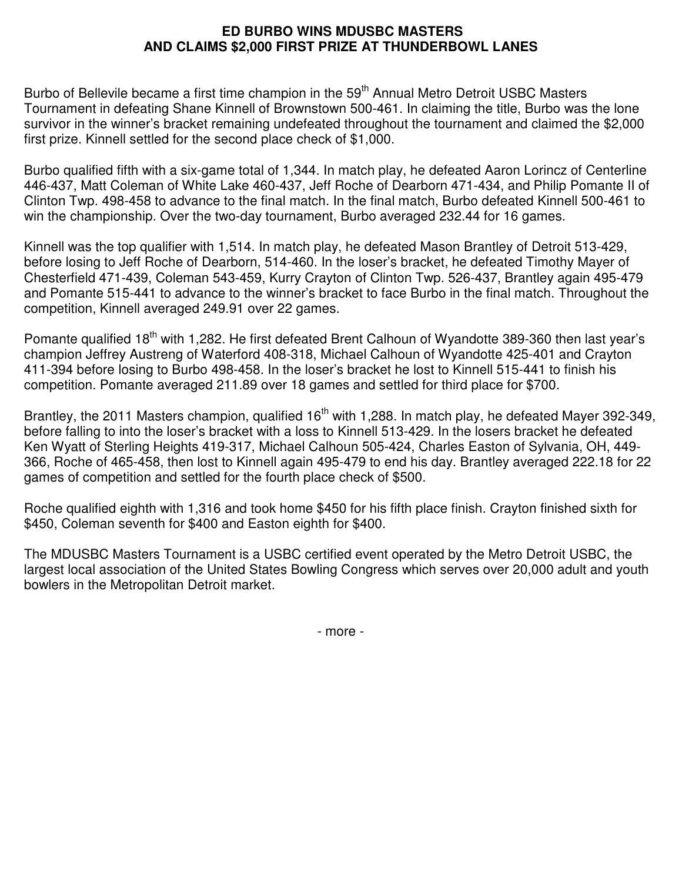## **ED BURBO WINS MDUSBC MASTERS AND CLAIMS \$2,000 FIRST PRIZE AT THUNDERBOWL LANES**

Burbo of Bellevile became a first time champion in the 59<sup>th</sup> Annual Metro Detroit USBC Masters Tournament in defeating Shane Kinnell of Brownstown 500-461. In claiming the title, Burbo was the lone survivor in the winner's bracket remaining undefeated throughout the tournament and claimed the \$2,000 first prize. Kinnell settled for the second place check of \$1,000.

Burbo qualified fifth with a six-game total of 1,344. In match play, he defeated Aaron Lorincz of Centerline 446-437, Matt Coleman of White Lake 460-437, Jeff Roche of Dearborn 471-434, and Philip Pomante II of Clinton Twp. 498-458 to advance to the final match. In the final match, Burbo defeated Kinnell 500-461 to win the championship. Over the two-day tournament, Burbo averaged 232.44 for 16 games.

Kinnell was the top qualifier with 1,514. In match play, he defeated Mason Brantley of Detroit 513-429, before losing to Jeff Roche of Dearborn, 514-460. In the loser's bracket, he defeated Timothy Mayer of Chesterfield 471-439, Coleman 543-459, Kurry Crayton of Clinton Twp. 526-437, Brantley again 495-479 and Pomante 515-441 to advance to the winner's bracket to face Burbo in the final match. Throughout the competition, Kinnell averaged 249.91 over 22 games.

Pomante qualified 18<sup>th</sup> with 1,282. He first defeated Brent Calhoun of Wyandotte 389-360 then last year's champion Jeffrey Austreng of Waterford 408-318, Michael Calhoun of Wyandotte 425-401 and Crayton 411-394 before losing to Burbo 498-458. In the loser's bracket he lost to Kinnell 515-441 to finish his competition. Pomante averaged 211.89 over 18 games and settled for third place for \$700.

Brantley, the 2011 Masters champion, qualified 16<sup>th</sup> with 1,288. In match play, he defeated Mayer 392-349, before falling to into the loser's bracket with a loss to Kinnell 513-429. In the losers bracket he defeated Ken Wyatt of Sterling Heights 419-317, Michael Calhoun 505-424, Charles Easton of Sylvania, OH, 449- 366, Roche of 465-458, then lost to Kinnell again 495-479 to end his day. Brantley averaged 222.18 for 22 games of competition and settled for the fourth place check of \$500.

Roche qualified eighth with 1,316 and took home \$450 for his fifth place finish. Crayton finished sixth for \$450, Coleman seventh for \$400 and Easton eighth for \$400.

The MDUSBC Masters Tournament is a USBC certified event operated by the Metro Detroit USBC, the largest local association of the United States Bowling Congress which serves over 20,000 adult and youth bowlers in the Metropolitan Detroit market.

- more -